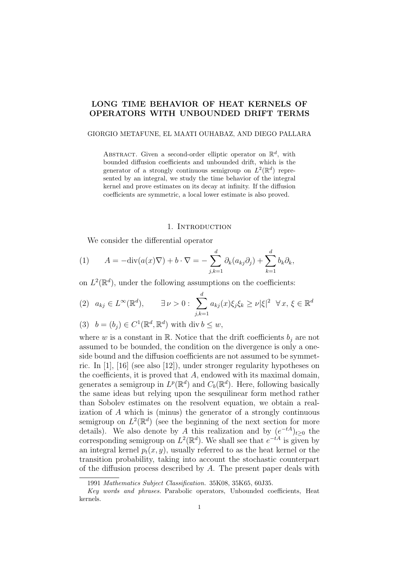# LONG TIME BEHAVIOR OF HEAT KERNELS OF OPERATORS WITH UNBOUNDED DRIFT TERMS

### GIORGIO METAFUNE, EL MAATI OUHABAZ, AND DIEGO PALLARA

ABSTRACT. Given a second-order elliptic operator on  $\mathbb{R}^d$ , with bounded diffusion coefficients and unbounded drift, which is the generator of a strongly continuous semigroup on  $L^2(\mathbb{R}^d)$  represented by an integral, we study the time behavior of the integral kernel and prove estimates on its decay at infinity. If the diffusion coefficients are symmetric, a local lower estimate is also proved.

## 1. INTRODUCTION

We consider the differential operator

(1) 
$$
A = -\text{div}(a(x)\nabla) + b \cdot \nabla = -\sum_{j,k=1}^d \partial_k(a_{kj}\partial_j) + \sum_{k=1}^d b_k \partial_k,
$$

on  $L^2(\mathbb{R}^d)$ , under the following assumptions on the coefficients:

$$
(2) \quad a_{kj} \in L^{\infty}(\mathbb{R}^d), \qquad \exists \nu > 0: \sum_{j,k=1}^d a_{kj}(x)\xi_j\xi_k \ge \nu|\xi|^2 \quad \forall x, \xi \in \mathbb{R}^d
$$

(3) 
$$
b = (b_j) \in C^1(\mathbb{R}^d, \mathbb{R}^d)
$$
 with div  $b \leq w$ ,

where w is a constant in R. Notice that the drift coefficients  $b_i$  are not assumed to be bounded, the condition on the divergence is only a oneside bound and the diffusion coefficients are not assumed to be symmetric. In [1], [16] (see also [12]), under stronger regularity hypotheses on the coefficients, it is proved that A, endowed with its maximal domain, generates a semigroup in  $L^p(\mathbb{R}^d)$  and  $C_b(\mathbb{R}^d)$ . Here, following basically the same ideas but relying upon the sesquilinear form method rather than Sobolev estimates on the resolvent equation, we obtain a realization of A which is (minus) the generator of a strongly continuous semigroup on  $L^2(\mathbb{R}^d)$  (see the beginning of the next section for more details). We also denote by A this realization and by  $(e^{-tA})_{t\geq 0}$  the corresponding semigroup on  $L^2(\mathbb{R}^d)$ . We shall see that  $e^{-tA}$  is given by an integral kernel  $p_t(x, y)$ , usually referred to as the heat kernel or the transition probability, taking into account the stochastic counterpart of the diffusion process described by A. The present paper deals with

<sup>1991</sup> Mathematics Subject Classification. 35K08, 35K65, 60J35.

Key words and phrases. Parabolic operators, Unbounded coefficients, Heat kernels.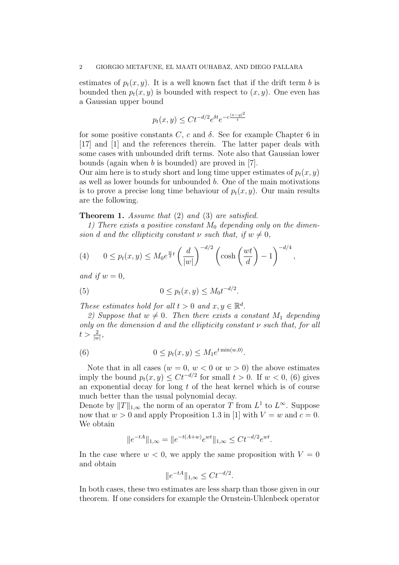estimates of  $p_t(x, y)$ . It is a well known fact that if the drift term b is bounded then  $p_t(x, y)$  is bounded with respect to  $(x, y)$ . One even has a Gaussian upper bound

$$
p_t(x, y) \leq Ct^{-d/2}e^{\delta t}e^{-c\frac{|x-y|^2}{t}}
$$

for some positive constants C, c and  $\delta$ . See for example Chapter 6 in [17] and [1] and the references therein. The latter paper deals with some cases with unbounded drift terms. Note also that Gaussian lower bounds (again when b is bounded) are proved in [7].

Our aim here is to study short and long time upper estimates of  $p_t(x, y)$ as well as lower bounds for unbounded b. One of the main motivations is to prove a precise long time behaviour of  $p_t(x, y)$ . Our main results are the following.

# Theorem 1. Assume that (2) and (3) are satisfied.

1) There exists a positive constant  $M_0$  depending only on the dimension d and the ellipticity constant  $\nu$  such that, if  $w \neq 0$ ,

(4) 
$$
0 \le p_t(x,y) \le M_0 e^{\frac{w}{2}t} \left(\frac{d}{|w|}\right)^{-d/2} \left(\cosh\left(\frac{wt}{d}\right) - 1\right)^{-d/4},
$$

and if  $w = 0$ .

(5) 
$$
0 \le p_t(x, y) \le M_0 t^{-d/2}.
$$

These estimates hold for all  $t > 0$  and  $x, y \in \mathbb{R}^d$ .

2) Suppose that  $w \neq 0$ . Then there exists a constant  $M_1$  depending only on the dimension  $d$  and the ellipticity constant  $\nu$  such that, for all  $t > \frac{2}{|w|},$ 

(6) 
$$
0 \le p_t(x, y) \le M_1 e^{t \min(w, 0)}.
$$

Note that in all cases  $(w = 0, w < 0 \text{ or } w > 0)$  the above estimates imply the bound  $p_t(x, y) \leq Ct^{-d/2}$  for small  $t > 0$ . If  $w < 0$ , (6) gives an exponential decay for long  $t$  of the heat kernel which is of course much better than the usual polynomial decay.

Denote by  $||T||_{1,\infty}$  the norm of an operator T from  $L^1$  to  $L^{\infty}$ . Suppose now that  $w > 0$  and apply Proposition 1.3 in [1] with  $V = w$  and  $c = 0$ . We obtain

$$
||e^{-tA}||_{1,\infty} = ||e^{-t(A+w)}e^{wt}||_{1,\infty} \le Ct^{-d/2}e^{wt}.
$$

In the case where  $w < 0$ , we apply the same proposition with  $V = 0$ and obtain

$$
||e^{-tA}||_{1,\infty} \le Ct^{-d/2}.
$$

In both cases, these two estimates are less sharp than those given in our theorem. If one considers for example the Ornstein-Uhlenbeck operator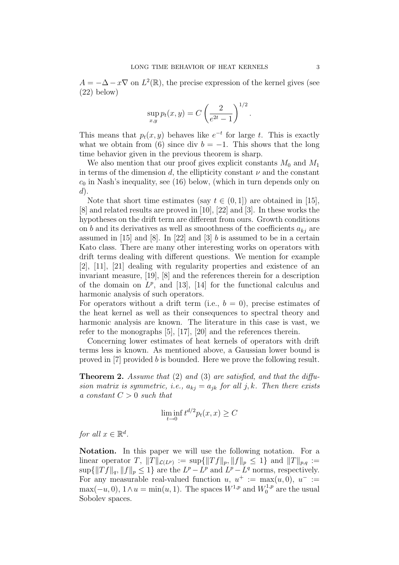$A = -\Delta - x\nabla$  on  $L^2(\mathbb{R})$ , the precise expression of the kernel gives (see (22) below)

$$
\sup_{x,y} p_t(x,y) = C \left(\frac{2}{e^{2t} - 1}\right)^{1/2}.
$$

This means that  $p_t(x, y)$  behaves like  $e^{-t}$  for large t. This is exactly what we obtain from (6) since div  $b = -1$ . This shows that the long time behavior given in the previous theorem is sharp.

We also mention that our proof gives explicit constants  $M_0$  and  $M_1$ in terms of the dimension d, the ellipticity constant  $\nu$  and the constant  $c_0$  in Nash's inequality, see (16) below, (which in turn depends only on  $d$ ).

Note that short time estimates (say  $t \in (0,1]$ ) are obtained in [15], [8] and related results are proved in [10], [22] and [3]. In these works the hypotheses on the drift term are different from ours. Growth conditions on b and its derivatives as well as smoothness of the coefficients  $a_{kj}$  are assumed in  $[15]$  and  $[8]$ . In  $[22]$  and  $[3]$  b is assumed to be in a certain Kato class. There are many other interesting works on operators with drift terms dealing with different questions. We mention for example [2], [11], [21] dealing with regularity properties and existence of an invariant measure, [19], [8] and the references therein for a description of the domain on  $L^p$ , and [13], [14] for the functional calculus and harmonic analysis of such operators.

For operators without a drift term (i.e.,  $b = 0$ ), precise estimates of the heat kernel as well as their consequences to spectral theory and harmonic analysis are known. The literature in this case is vast, we refer to the monographs [5], [17], [20] and the references therein.

Concerning lower estimates of heat kernels of operators with drift terms less is known. As mentioned above, a Gaussian lower bound is proved in [7] provided b is bounded. Here we prove the following result.

**Theorem 2.** Assume that  $(2)$  and  $(3)$  are satisfied, and that the diffusion matrix is symmetric, i.e.,  $a_{kj} = a_{jk}$  for all j, k. Then there exists a constant  $C > 0$  such that

$$
\liminf_{t \to 0} t^{d/2} p_t(x, x) \ge C
$$

for all  $x \in \mathbb{R}^d$ .

Notation. In this paper we will use the following notation. For a linear operator T,  $||T||_{\mathcal{L}(L^p)} := \sup{||Tf||_p, ||f||_p \leq 1}$  and  $||T||_{p,q} :=$  $\sup\{\|Tf\|_q, \|f\|_p \leq 1\}$  are the  $L^p - L^p$  and  $L^p - L^q$  norms, respectively. For any measurable real-valued function  $u, u^+ := \max(u, 0), u^- :=$  $\max(-u, 0), 1 \wedge u = \min(u, 1).$  The spaces  $W^{1,p}$  and  $W^{1,p}_0$  $n^{1,p}_{0}$  are the usual Sobolev spaces.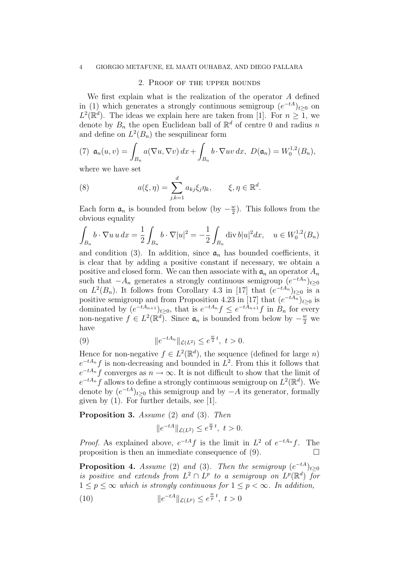#### 4 GIORGIO METAFUNE, EL MAATI OUHABAZ, AND DIEGO PALLARA

#### 2. Proof of the upper bounds

We first explain what is the realization of the operator A defined in (1) which generates a strongly continuous semigroup  $(e^{-tA})_{t\geq 0}$  on  $L^2(\mathbb{R}^d)$ . The ideas we explain here are taken from [1]. For  $n \geq 1$ , we denote by  $B_n$  the open Euclidean ball of  $\mathbb{R}^d$  of centre 0 and radius n and define on  $L^2(B_n)$  the sesquilinear form

(7) 
$$
\mathfrak{a}_n(u,v) = \int_{B_n} a(\nabla u, \nabla v) dx + \int_{B_n} b \cdot \nabla uv dx, \ D(\mathfrak{a}_n) = W_0^{1,2}(B_n),
$$

where we have set

(8) 
$$
a(\xi, \eta) = \sum_{j,k=1}^d a_{kj} \xi_j \eta_k, \qquad \xi, \eta \in \mathbb{R}^d.
$$

Each form  $a_n$  is bounded from below (by  $-\frac{w}{2}$ )  $\frac{w}{2}$ ). This follows from the obvious equality

$$
\int_{B_n} b \cdot \nabla u \, u \, dx = \frac{1}{2} \int_{B_n} b \cdot \nabla |u|^2 = -\frac{1}{2} \int_{B_n} \text{div } b|u|^2 dx, \quad u \in W_0^{1,2}(B_n)
$$

and condition (3). In addition, since  $a_n$  has bounded coefficients, it is clear that by adding a positive constant if necessary, we obtain a positive and closed form. We can then associate with  $a_n$  an operator  $A_n$ such that  $-A_n$  generates a strongly continuous semigroup  $(e^{-tA_n})_{t\geq 0}$ on  $L^2(B_n)$ . It follows from Corollary 4.3 in [17] that  $(e^{-tA_n})_{t\geq 0}$  is a positive semigroup and from Proposition 4.23 in [17] that  $(e^{-tA_n})_{t\geq 0}$  is dominated by  $(e^{-tA_{n+1}})_{t\geq 0}$ , that is  $e^{-tA_n}f \leq e^{-tA_{n+1}}f$  in  $B_n$  for every non-negative  $f \in L^2(\mathbb{R}^d)$ . Since  $\mathfrak{a}_n$  is bounded from below by  $-\frac{w}{2}$  we have

(9) 
$$
\|e^{-tA_n}\|_{\mathcal{L}(L^2)} \le e^{\frac{w}{2}t}, \ t > 0.
$$

Hence for non-negative  $f \in L^2(\mathbb{R}^d)$ , the sequence (defined for large *n*)  $e^{-tA_n}f$  is non-decreasing and bounded in  $L^2$ . From this it follows that  $e^{-tA_n}f$  converges as  $n \to \infty$ . It is not difficult to show that the limit of  $e^{-tA_n} f$  allows to define a strongly continuous semigroup on  $L^2(\mathbb{R}^d)$ . We denote by  $(e^{-tA})_{t\geq 0}$  this semigroup and by  $-A$  its generator, formally given by (1). For further details, see [1].

Proposition 3. Assume (2) and (3). Then

$$
||e^{-tA}||_{\mathcal{L}(L^2)} \le e^{\frac{w}{2}t}, \ t > 0.
$$

*Proof.* As explained above,  $e^{-tA}f$  is the limit in  $L^2$  of  $e^{-tA_n}f$ . The proposition is then an immediate consequence of  $(9)$ .

**Proposition 4.** Assume (2) and (3). Then the semigroup  $(e^{-tA})_{t\geq 0}$ is positive and extends from  $L^2 \cap L^p$  to a semigroup on  $L^p(\mathbb{R}^d)$  for  $1 \leq p \leq \infty$  which is strongly continuous for  $1 \leq p < \infty$ . In addition,

(10) 
$$
||e^{-tA}||_{\mathcal{L}(L^p)} \le e^{\frac{w}{p}t}, \ t > 0
$$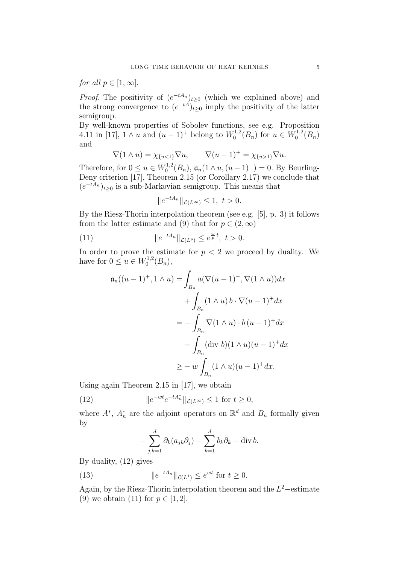for all  $p \in [1,\infty]$ .

*Proof.* The positivity of  $(e^{-tA_n})_{t\geq 0}$  (which we explained above) and the strong convergence to  $(e^{-tA})_{t\geq 0}$  imply the positivity of the latter semigroup.

By well-known properties of Sobolev functions, see e.g. Proposition 4.11 in [17],  $1 \wedge u$  and  $(u - 1)^+$  belong to  $W_0^{1,2}$  $\chi_0^{1,2}(B_n)$  for  $u \in W_0^{1,2}$  $b_0^{1,2}(B_n)$ and

$$
\nabla (1 \wedge u) = \chi_{\{u < 1\}} \nabla u, \qquad \nabla (u - 1)^+ = \chi_{\{u > 1\}} \nabla u.
$$

Therefore, for  $0 \le u \in W_0^{1,2}$  $\mathfrak{g}_0^{1,2}(B_n)$ ,  $\mathfrak{a}_n(1 \wedge u, (u-1)^+) = 0$ . By Beurling-Deny criterion [17], Theorem 2.15 (or Corollary 2.17) we conclude that  $(e^{-tA_n})_{t\geq 0}$  is a sub-Markovian semigroup. This means that

$$
||e^{-tA_n}||_{\mathcal{L}(L^{\infty})} \le 1, \ t > 0.
$$

By the Riesz-Thorin interpolation theorem (see e.g. [5], p. 3) it follows from the latter estimate and (9) that for  $p \in (2,\infty)$ 

(11) 
$$
\|e^{-tA_n}\|_{\mathcal{L}(L^p)} \le e^{\frac{w}{p}t}, \ t > 0.
$$

In order to prove the estimate for  $p < 2$  we proceed by duality. We have for  $0 \le u \in W_0^{1,2}$  $b_0^{1,2}(B_n),$ 

$$
\mathfrak{a}_n((u-1)^+, 1 \wedge u) = \int_{B_n} a(\nabla(u-1)^+, \nabla(1 \wedge u)) dx
$$

$$
+ \int_{B_n} (1 \wedge u) b \cdot \nabla(u-1)^+ dx
$$

$$
= - \int_{B_n} \nabla(1 \wedge u) \cdot b (u-1)^+ dx
$$

$$
- \int_{B_n} (\text{div } b)(1 \wedge u)(u-1)^+ dx
$$

$$
\geq - w \int_{B_n} (1 \wedge u)(u-1)^+ dx.
$$

Using again Theorem 2.15 in [17], we obtain

(12) 
$$
||e^{-wt}e^{-tA_n^*}||_{\mathcal{L}(L^{\infty})} \le 1 \text{ for } t \ge 0,
$$

where  $A^*$ ,  $A_n^*$  are the adjoint operators on  $\mathbb{R}^d$  and  $B_n$  formally given by

$$
-\sum_{j,k=1}^d \partial_k(a_{jk}\partial_j) - \sum_{k=1}^d b_k \partial_k - \operatorname{div} b.
$$

By duality, (12) gives

(13) 
$$
\|e^{-tA_n}\|_{\mathcal{L}(L^1)} \le e^{wt} \text{ for } t \ge 0.
$$

Again, by the Riesz-Thorin interpolation theorem and the  $L^2$ -estimate (9) we obtain (11) for  $p \in [1, 2]$ .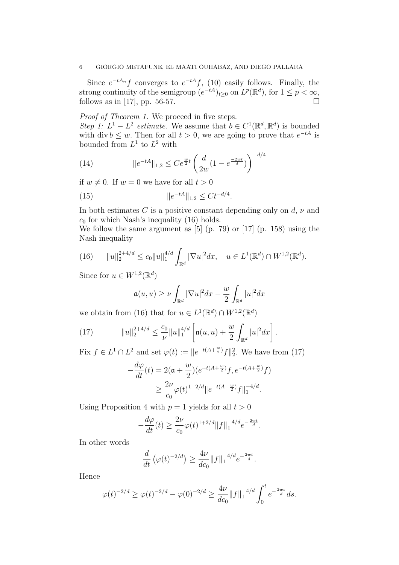#### 6 GIORGIO METAFUNE, EL MAATI OUHABAZ, AND DIEGO PALLARA

Since  $e^{-tA_n}f$  converges to  $e^{-tA}f$ , (10) easily follows. Finally, the strong continuity of the semigroup  $(e^{-tA})_{t\geq0}$  on  $L^p(\mathbb{R}^d)$ , for  $1\leq p<\infty$ , follows as in [17], pp. 56-57.

Proof of Theorem 1. We proceed in five steps. Step 1:  $L^1 - L^2$  estimate. We assume that  $b \in C^1(\mathbb{R}^d, \mathbb{R}^d)$  is bounded with div  $b \leq w$ . Then for all  $t > 0$ , we are going to prove that  $e^{-tA}$  is bounded from  $L^1$  to  $L^2$  with

(14) 
$$
\|e^{-tA}\|_{1,2} \le Ce^{\frac{w}{2}t} \left(\frac{d}{2w}(1-e^{\frac{-2wt}{d}})\right)^{-d/4}
$$

if  $w \neq 0$ . If  $w = 0$  we have for all  $t > 0$ 

(15) 
$$
\|e^{-tA}\|_{1,2} \leq Ct^{-d/4}.
$$

In both estimates C is a positive constant depending only on  $d, \nu$  and  $c_0$  for which Nash's inequality (16) holds.

We follow the same argument as [5] (p. 79) or [17] (p. 158) using the Nash inequality

(16) 
$$
||u||_2^{2+4/d} \le c_0 ||u||_1^{4/d} \int_{\mathbb{R}^d} |\nabla u|^2 dx, \quad u \in L^1(\mathbb{R}^d) \cap W^{1,2}(\mathbb{R}^d).
$$

Since for  $u \in W^{1,2}(\mathbb{R}^d)$ 

$$
\mathfrak{a}(u,u) \ge \nu \int_{\mathbb{R}^d} |\nabla u|^2 dx - \frac{w}{2} \int_{\mathbb{R}^d} |u|^2 dx
$$

we obtain from (16) that for  $u \in L^1(\mathbb{R}^d) \cap W^{1,2}(\mathbb{R}^d)$ 

(17) 
$$
||u||_2^{2+4/d} \leq \frac{c_0}{\nu} ||u||_1^{4/d} \left[ \mathfrak{a}(u, u) + \frac{w}{2} \int_{\mathbb{R}^d} |u|^2 dx \right].
$$

Fix  $f \in L^1 \cap L^2$  and set  $\varphi(t) := ||e^{-t(A + \frac{w}{2})}f||_2^2$ . We have from (17)

$$
-\frac{d\varphi}{dt}(t) = 2(\mathfrak{a} + \frac{w}{2})(e^{-t(A + \frac{w}{2})}f, e^{-t(A + \frac{w}{2})}f)
$$
  
 
$$
\geq \frac{2\nu}{c_0}\varphi(t)^{1+2/d} \|e^{-t(A + \frac{w}{2})}f\|_1^{-4/d}.
$$

Using Proposition 4 with  $p = 1$  yields for all  $t > 0$ 

$$
-\frac{d\varphi}{dt}(t) \ge \frac{2\nu}{c_0} \varphi(t)^{1+2/d} ||f||_1^{-4/d} e^{-\frac{2wt}{d}}.
$$

In other words

$$
\frac{d}{dt} \left( \varphi(t)^{-2/d} \right) \ge \frac{4\nu}{dc_0} \| f \|_1^{-4/d} e^{-\frac{2wt}{d}}.
$$

Hence

$$
\varphi(t)^{-2/d} \ge \varphi(t)^{-2/d} - \varphi(0)^{-2/d} \ge \frac{4\nu}{dc_0} \|f\|_1^{-4/d} \int_0^t e^{-\frac{2ws}{d}} ds.
$$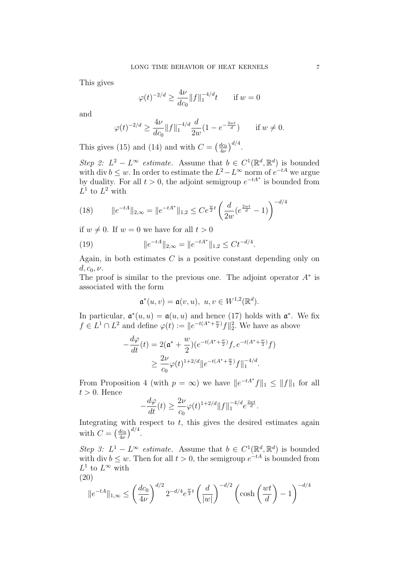This gives

$$
\varphi(t)^{-2/d} \ge \frac{4\nu}{dc_0} ||f||_1^{-4/d} t \quad \text{if } w = 0
$$

and

$$
\varphi(t)^{-2/d} \ge \frac{4\nu}{dc_0} \|f\|_1^{-4/d} \frac{d}{2w} (1 - e^{-\frac{2wt}{d}}) \quad \text{if } w \ne 0.
$$

This gives (15) and (14) and with  $C = \left(\frac{dc_0}{4\nu}\right)$  $\frac{dc_0}{4\nu}\Big)^{d/4}.$ 

Step 2:  $L^2 - L^{\infty}$  estimate. Assume that  $b \in C^1(\mathbb{R}^d, \mathbb{R}^d)$  is bounded with div  $b \leq w$ . In order to estimate the  $L^2 - L^{\infty}$  norm of  $e^{-tA}$  we argue by duality. For all  $t > 0$ , the adjoint semigroup  $e^{-tA^*}$  is bounded from  $L^1$  to  $L^2$  with

(18) 
$$
\|e^{-tA}\|_{2,\infty} = \|e^{-tA^*}\|_{1,2} \le Ce^{\frac{w}{2}t} \left(\frac{d}{2w}(e^{\frac{2wt}{d}} - 1)\right)^{-d/4}
$$

if  $w \neq 0$ . If  $w = 0$  we have for all  $t > 0$ 

(19) 
$$
||e^{-tA}||_{2,\infty} = ||e^{-tA^*}||_{1,2} \le Ct^{-d/4}.
$$

Again, in both estimates  $C$  is a positive constant depending only on  $d, c_0, \nu.$ 

The proof is similar to the previous one. The adjoint operator  $A^*$  is associated with the form

$$
\mathfrak{a}^*(u,v) = \mathfrak{a}(v,u), \ u, v \in W^{1,2}(\mathbb{R}^d).
$$

In particular,  $\mathfrak{a}^*(u, u) = \mathfrak{a}(u, u)$  and hence (17) holds with  $\mathfrak{a}^*$ . We fix  $f \in L^1 \cap L^2$  and define  $\varphi(t) := ||e^{-t(A^* + \frac{w}{2})}f||_2^2$ . We have as above

$$
-\frac{d\varphi}{dt}(t) = 2(\mathfrak{a}^* + \frac{w}{2})(e^{-t(A^* + \frac{w}{2})}f, e^{-t(A^* + \frac{w}{2})}f)
$$
  
 
$$
\geq \frac{2\nu}{c_0}\varphi(t)^{1+2/d} \|e^{-t(A^* + \frac{w}{2})}f\|_1^{-4/d}.
$$

From Proposition 4 (with  $p = \infty$ ) we have  $||e^{-tA^*}f||_1 \leq ||f||_1$  for all  $t > 0$ . Hence

$$
-\frac{d\varphi}{dt}(t) \ge \frac{2\nu}{c_0} \varphi(t)^{1+2/d} ||f||_1^{-4/d} e^{\frac{2wt}{d}}.
$$

Integrating with respect to  $t$ , this gives the desired estimates again with  $C = \left(\frac{dc_0}{du}\right)$  $\frac{dc_0}{4\nu}\Big)^{d/4}.$ 

Step 3:  $L^1 - L^{\infty}$  estimate. Assume that  $b \in C^1(\mathbb{R}^d, \mathbb{R}^d)$  is bounded with div  $b \leq w$ . Then for all  $t > 0$ , the semigroup  $e^{-tA}$  is bounded from  $L^1$  to  $L^\infty$  with (20)

$$
||e^{-tA}||_{1,\infty} \le \left(\frac{dc_0}{4\nu}\right)^{d/2} 2^{-d/4} e^{\frac{w}{2}t} \left(\frac{d}{|w|}\right)^{-d/2} \left(\cosh\left(\frac{wt}{d}\right) - 1\right)^{-d/4}
$$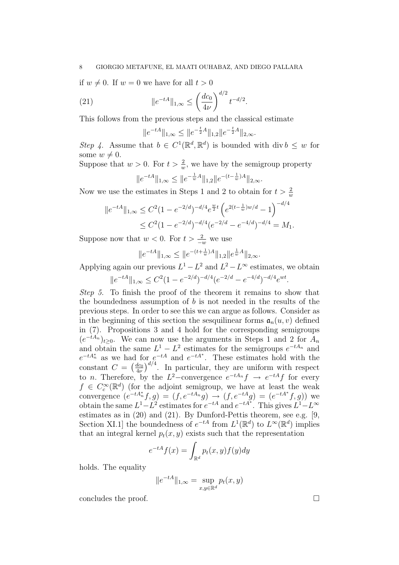if  $w \neq 0$ . If  $w = 0$  we have for all  $t > 0$ 

(21) 
$$
\|e^{-tA}\|_{1,\infty} \le \left(\frac{dc_0}{4\nu}\right)^{d/2} t^{-d/2}.
$$

This follows from the previous steps and the classical estimate

$$
||e^{-tA}||_{1,\infty} \le ||e^{-\frac{t}{2}A}||_{1,2}||e^{-\frac{t}{2}A}||_{2,\infty}.
$$

Step 4. Assume that  $b \in C^1(\mathbb{R}^d, \mathbb{R}^d)$  is bounded with div  $b \leq w$  for some  $w \neq 0$ .

Suppose that  $w > 0$ . For  $t > \frac{2}{w}$ , we have by the semigroup property

$$
||e^{-tA}||_{1,\infty} \le ||e^{-\frac{1}{w}A}||_{1,2}||e^{-(t-\frac{1}{w})A}||_{2,\infty}.
$$

Now we use the estimates in Steps 1 and 2 to obtain for  $t > \frac{2}{w}$ 

$$
||e^{-tA}||_{1,\infty} \leq C^2 (1 - e^{-2/d})^{-d/4} e^{\frac{w}{2}t} \left( e^{2(t - \frac{1}{w})w/d} - 1 \right)^{-d/4}
$$
  
 
$$
\leq C^2 (1 - e^{-2/d})^{-d/4} (e^{-2/d} - e^{-4/d})^{-d/4} = M_1.
$$

Suppose now that  $w < 0$ . For  $t > \frac{2}{-w}$  we use

$$
||e^{-tA}||_{1,\infty} \le ||e^{-(t+\frac{1}{w})A}||_{1,2}||e^{\frac{1}{w}A}||_{2,\infty}.
$$

Applying again our previous  $L^1 - L^2$  and  $L^2 - L^{\infty}$  estimates, we obtain

$$
||e^{-tA}||_{1,\infty} \leq C^2 (1 - e^{-2/d})^{-d/4} (e^{-2/d} - e^{-4/d})^{-d/4} e^{wt}.
$$

Step 5. To finish the proof of the theorem it remains to show that the boundedness assumption of  $b$  is not needed in the results of the previous steps. In order to see this we can argue as follows. Consider as in the beginning of this section the sesquilinear forms  $a_n(u, v)$  defined in (7). Propositions 3 and 4 hold for the corresponding semigroups  $(e^{-tA_n})_{t\geq 0}$ . We can now use the arguments in Steps 1 and 2 for  $A_n$ and obtain the same  $L^1 - L^2$  estimates for the semigroups  $e^{-tA_n}$  and  $e^{-tA_n^*}$  as we had for  $e^{-tA}$  and  $e^{-tA^*}$ . These estimates hold with the constant  $C = \left(\frac{dc_0}{du}\right)$  $\frac{dc_0}{4\nu}\Big)^{d/4}$ . In particular, they are uniform with respect to *n*. Therefore, by the  $L^2$ -convergence  $e^{-tA_n}f \rightarrow e^{-tA}f$  for every  $f \in C_c^{\infty}(\mathbb{R}^d)$  (for the adjoint semigroup, we have at least the weak convergence  $(e^{-tA_n^*}f, g) = (f, e^{-tA_n}g) \to (f, e^{-tA}g) = (e^{-tA^*}f, g)$  we obtain the same  $L^1 - L^2$  estimates for  $e^{-tA}$  and  $e^{-tA^*}$ . This gives  $L^1 - L^{\infty}$ estimates as in (20) and (21). By Dunford-Pettis theorem, see e.g. [9, Section XI.1 the boundedness of  $e^{-tA}$  from  $L^1(\mathbb{R}^d)$  to  $L^\infty(\mathbb{R}^d)$  implies that an integral kernel  $p_t(x, y)$  exists such that the representation

$$
e^{-tA}f(x) = \int_{\mathbb{R}^d} p_t(x, y) f(y) dy
$$

holds. The equality

$$
||e^{-tA}||_{1,\infty} = \sup_{x,y \in \mathbb{R}^d} p_t(x,y)
$$

concludes the proof.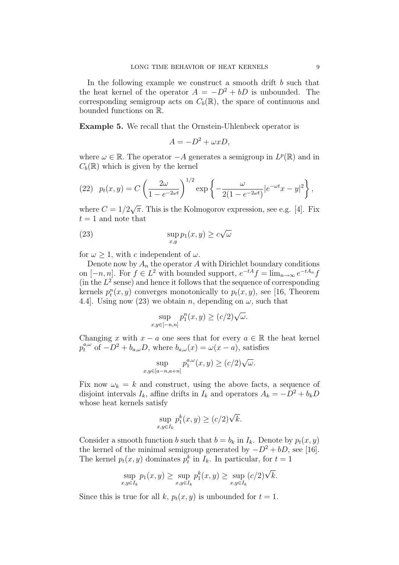In the following example we construct a smooth drift b such that the heat kernel of the operator  $A = -D^2 + bD$  is unbounded. The corresponding semigroup acts on  $C_b(\mathbb{R})$ , the space of continuous and bounded functions on R.

Example 5. We recall that the Ornstein-Uhlenbeck operator is

$$
A = -D^2 + \omega x D,
$$

where  $\omega \in \mathbb{R}$ . The operator  $-A$  generates a semigroup in  $L^p(\mathbb{R})$  and in  $C_b(\mathbb{R})$  which is given by the kernel

(22) 
$$
p_t(x, y) = C \left( \frac{2\omega}{1 - e^{-2\omega t}} \right)^{1/2} \exp \left\{ -\frac{\omega}{2(1 - e^{-2\omega t})} |e^{-\omega t}x - y|^2 \right\},
$$

where  $C = 1/2$  $\overline{\pi}$ . This is the Kolmogorov expression, see e.g. [4]. Fix  $t = 1$  and note that

(23) 
$$
\sup_{x,y} p_1(x,y) \ge c\sqrt{\omega}
$$

for  $\omega > 1$ , with c independent of  $\omega$ .

Denote now by  $A_n$  the operator A with Dirichlet boundary conditions on  $[-n, n]$ . For  $f \in L^2$  with bounded support,  $e^{-tA}f = \lim_{n \to \infty} e^{-tA_n}f$ (in the  $L^2$  sense) and hence it follows that the sequence of corresponding kernels  $p_t^n(x, y)$  converges monotonically to  $p_t(x, y)$ , see [16, Theorem 4.4. Using now (23) we obtain n, depending on  $\omega$ , such that

$$
\sup_{x,y \in [-n,n]} p_1^n(x,y) \ge (c/2)\sqrt{\omega}.
$$

Changing x with  $x - a$  one sees that for every  $a \in \mathbb{R}$  the heat kernel  $p_t^{a,\omega}$  of  $-D^2 + b_{a,\omega}D$ , where  $b_{a,\omega}(x) = \omega(x-a)$ , satisfies

$$
\sup_{x,y \in [a-n,a+n]} p_1^{a,\omega}(x,y) \ge (c/2)\sqrt{\omega}.
$$

Fix now  $\omega_k = k$  and construct, using the above facts, a sequence of disjoint intervals  $I_k$ , affine drifts in  $I_k$  and operators  $A_k = -D^2 + b_kD$ whose heat kernels satisfy

$$
\sup_{x,y\in I_k} p_1^k(x,y) \ge (c/2)\sqrt{k}.
$$

Consider a smooth function b such that  $b = b_k$  in  $I_k$ . Denote by  $p_t(x, y)$ the kernel of the minimal semigroup generated by  $-D^2 + bD$ , see [16]. The kernel  $p_t(x, y)$  dominates  $p_t^k$  in  $I_k$ . In particular, for  $t = 1$ 

$$
\sup_{x,y\in I_k} p_1(x,y) \ge \sup_{x,y\in I_k} p_1^k(x,y) \ge \sup_{x,y\in I_k} (c/2)\sqrt{k}.
$$

Since this is true for all k,  $p_t(x, y)$  is unbounded for  $t = 1$ .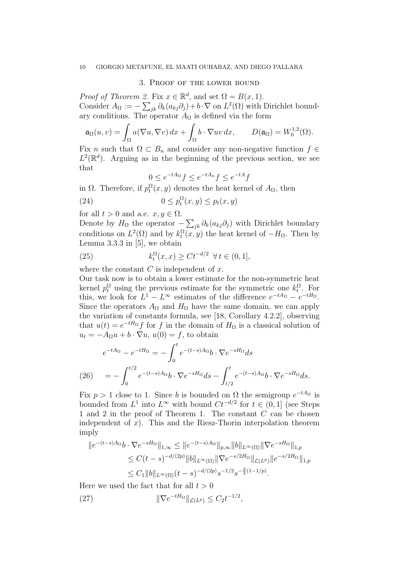#### 3. Proof of the lower bound

*Proof of Theorem 2.* Fix  $x \in \mathbb{R}^d$ , and set  $\Omega = B(x, 1)$ . Consider  $A_{\Omega} := -\sum_{jk} \partial_k (a_{kj} \partial_j) + b \cdot \nabla$  on  $L^2(\Omega)$  with Dirichlet boundary conditions. The operator  $A_{\Omega}$  is defined via the form

$$
\mathfrak{a}_{\Omega}(u,v)=\int_{\Omega}a(\nabla u,\nabla v)\,dx+\int_{\Omega}b\cdot\nabla uv\,dx,\qquad D(\mathfrak{a}_{\Omega})=W_0^{1,2}(\Omega).
$$

Fix n such that  $\Omega \subset B_n$  and consider any non-negative function  $f \in$  $L^2(\mathbb{R}^d)$ . Arguing as in the beginning of the previous section, we see that

$$
0 \le e^{-tA_{\Omega}}f \le e^{-tA_n}f \le e^{-tA}f
$$

in  $\Omega$ . Therefore, if  $p_t^{\Omega}(x, y)$  denotes the heat kernel of  $A_{\Omega}$ , then

(24) 
$$
0 \le p_t^{\Omega}(x, y) \le p_t(x, y)
$$

for all  $t > 0$  and a.e.  $x, y \in \Omega$ .

Denote by  $H_{\Omega}$  the operator  $-\sum_{jk}\partial_k(a_{kj}\partial_j)$  with Dirichlet boundary conditions on  $L^2(\Omega)$  and by  $k_t^{\Omega}(x, y)$  the heat kernel of  $-H_{\Omega}$ . Then by Lemma 3.3.3 in [5], we obtain

(25) 
$$
k_t^{\Omega}(x,x) \ge Ct^{-d/2} \ \forall \, t \in (0,1],
$$

where the constant  $C$  is independent of  $x$ .

Our task now is to obtain a lower estimate for the non-symmetric heat kernel  $p_t^{\Omega}$  using the previous estimate for the symmetric one  $k_t^{\Omega}$ . For this, we look for  $L^1 - L^{\infty}$  estimates of the difference  $e^{-tA_{\Omega}} - e^{-tH_{\Omega}}$ . Since the operators  $A_{\Omega}$  and  $H_{\Omega}$  have the same domain, we can apply the variation of constants formula, see [18, Corollary 4.2.2], observing that  $u(t) = e^{-tH_{\Omega}}f$  for f in the domain of  $H_{\Omega}$  is a classical solution of  $u_t = -A_\Omega u + b \cdot \nabla u, u(0) = f$ , to obtain

$$
e^{-tA_{\Omega}} - e^{-tH_{\Omega}} = -\int_0^t e^{-(t-s)A_{\Omega}} b \cdot \nabla e^{-sH_{\Omega}} ds
$$
  
(26) 
$$
= -\int_0^{t/2} e^{-(t-s)A_{\Omega}} b \cdot \nabla e^{-sH_{\Omega}} ds - \int_{t/2}^t e^{-(t-s)A_{\Omega}} b \cdot \nabla e^{-sH_{\Omega}} ds.
$$

Fix  $p > 1$  close to 1. Since b is bounded on  $\Omega$  the semigroup  $e^{-tA_{\Omega}}$  is bounded from  $L^1$  into  $L^{\infty}$  with bound  $C t^{-d/2}$  for  $t \in (0,1]$  (see Steps 1 and 2 in the proof of Theorem 1. The constant  $C$  can be chosen independent of x). This and the Riesz-Thorin interpolation theorem imply

$$
||e^{-(t-s)A_{\Omega}}b \cdot \nabla e^{-sH_{\Omega}}||_{1,\infty} \le ||e^{-(t-s)A_{\Omega}}||_{p,\infty} ||b||_{L^{\infty}(\Omega)} ||\nabla e^{-sH_{\Omega}}||_{1,p}
$$
  
\n
$$
\le C(t-s)^{-d/(2p)} ||b||_{L^{\infty}(\Omega)} ||\nabla e^{-s/2H_{\Omega}}||_{\mathcal{L}(L^p)} ||e^{-s/2H_{\Omega}}||_{1,p}
$$
  
\n
$$
\le C_1 ||b||_{L^{\infty}(\Omega)} (t-s)^{-d/(2p)} s^{-1/2} s^{-\frac{d}{2}(1-1/p)}.
$$

Here we used the fact that for all  $t > 0$ 

(27) 
$$
\|\nabla e^{-tH_{\Omega}}\|_{\mathcal{L}(L^p)} \leq C_2 t^{-1/2},
$$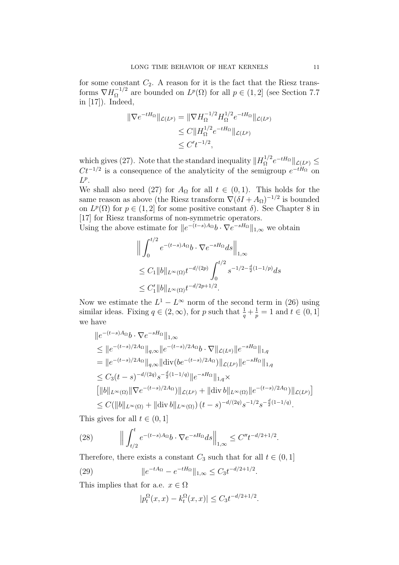for some constant  $C_2$ . A reason for it is the fact that the Riesz transforms  $\nabla H_{\Omega}^{-1/2}$  $\Omega^{-1/2}$  are bounded on  $L^p(\Omega)$  for all  $p \in (1,2]$  (see Section 7.7) in [17]). Indeed,

$$
\|\nabla e^{-tH_{\Omega}}\|_{\mathcal{L}(L^{p})} = \|\nabla H_{\Omega}^{-1/2} H_{\Omega}^{1/2} e^{-tH_{\Omega}}\|_{\mathcal{L}(L^{p})}
$$
  
\n
$$
\leq C \|H_{\Omega}^{1/2} e^{-tH_{\Omega}}\|_{\mathcal{L}(L^{p})}
$$
  
\n
$$
\leq C't^{-1/2},
$$

which gives (27). Note that the standard inequality  $||H_{\Omega}^{1/2}||$  $\int_{\Omega}^{1/2} e^{-tH_{\Omega}} \|\mathcal{L}(L^{p})\leq$  $Ct^{-1/2}$  is a consequence of the analyticity of the semigroup  $e^{-tH_{\Omega}}$  on  $L^p$ .

We shall also need (27) for  $A_{\Omega}$  for all  $t \in (0,1)$ . This holds for the same reason as above (the Riesz transform  $\nabla(\delta I + A_{\Omega})^{-1/2}$  is bounded on  $L^p(\Omega)$  for  $p \in (1,2]$  for some positive constant  $\delta$ ). See Chapter 8 in [17] for Riesz transforms of non-symmetric operators.

Using the above estimate for  $||e^{-(t-s)A_{\Omega}}b \cdot \nabla e^{-sH_{\Omega}}||_{1,\infty}$  we obtain

$$
\| \int_0^{t/2} e^{-(t-s)A_{\Omega}} b \cdot \nabla e^{-sH_{\Omega}} ds \Big|_{1,\infty}
$$
  
\n
$$
\leq C_1 \|b\|_{L^{\infty}(\Omega)} t^{-d/(2p)} \int_0^{t/2} s^{-1/2 - \frac{d}{2}(1-1/p)} ds
$$
  
\n
$$
\leq C'_1 \|b\|_{L^{\infty}(\Omega)} t^{-d/2p + 1/2}.
$$

Now we estimate the  $L^1 - L^{\infty}$  norm of the second term in (26) using similar ideas. Fixing  $q \in (2, \infty)$ , for p such that  $\frac{1}{q} + \frac{1}{p}$  $\frac{1}{p} = 1$  and  $t \in (0, 1]$ we have

$$
||e^{-(t-s)A_{\Omega}}b \cdot \nabla e^{-sH_{\Omega}}||_{1,\infty}
$$
  
\n
$$
\leq ||e^{-(t-s)/2A_{\Omega}}||_{q,\infty} ||e^{-(t-s)/2A_{\Omega}}b \cdot \nabla ||_{\mathcal{L}(L^{q})} ||e^{-sH_{\Omega}}||_{1,q}
$$
  
\n
$$
= ||e^{-(t-s)/2A_{\Omega}}||_{q,\infty} ||\text{div}(be^{-(t-s)/2A_{\Omega}})||_{\mathcal{L}(L^{p})} ||e^{-sH_{\Omega}}||_{1,q}
$$
  
\n
$$
\leq C_{3}(t-s)^{-d/(2q)}s^{-\frac{d}{2}(1-1/q)} ||e^{-sH_{\Omega}}||_{1,q} \times
$$
  
\n
$$
[||b||_{L^{\infty}(\Omega)} ||\nabla e^{-(t-s)/2A_{\Omega}})||_{\mathcal{L}(L^{p})} + ||\text{div} b||_{L^{\infty}(\Omega)} ||e^{-(t-s)/2A_{\Omega}}||_{\mathcal{L}(L^{p})}]
$$
  
\n
$$
\leq C(||b||_{L^{\infty}(\Omega)} + ||\text{div} b||_{L^{\infty}(\Omega)})(t-s)^{-d/(2q)}s^{-1/2}s^{-\frac{d}{2}(1-1/q)}.
$$

This gives for all  $t \in (0, 1]$ 

(28) 
$$
\left\| \int_{t/2}^t e^{-(t-s)A_{\Omega}} b \cdot \nabla e^{-sH_{\Omega}} ds \right\|_{1,\infty} \leq C'' t^{-d/2+1/2}.
$$

Therefore, there exists a constant  $C_3$  such that for all  $t \in (0,1]$ 

(29) 
$$
||e^{-tA_{\Omega}} - e^{-tH_{\Omega}}||_{1,\infty} \leq C_3 t^{-d/2+1/2}.
$$

This implies that for a.e.  $x \in \Omega$ 

$$
|p_t^{\Omega}(x,x) - k_t^{\Omega}(x,x)| \le C_3 t^{-d/2 + 1/2}
$$

.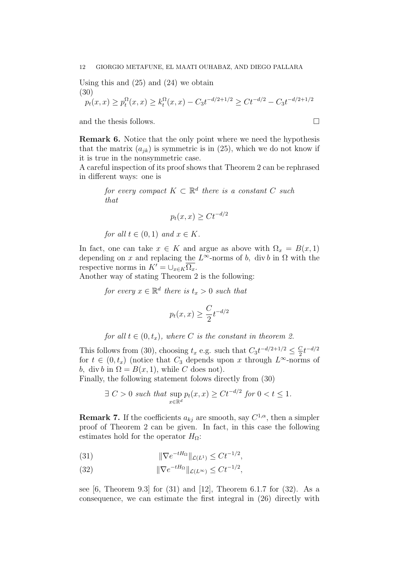Using this and (25) and (24) we obtain (30)

$$
p_t(x,x) \ge p_t^{\Omega}(x,x) \ge k_t^{\Omega}(x,x) - C_3 t^{-d/2 + 1/2} \ge Ct^{-d/2} - C_3 t^{-d/2 + 1/2}
$$

and the thesis follows.  $\Box$ 

Remark 6. Notice that the only point where we need the hypothesis that the matrix  $(a_{jk})$  is symmetric is in (25), which we do not know if it is true in the nonsymmetric case.

A careful inspection of its proof shows that Theorem 2 can be rephrased in different ways: one is

for every compact  $K \subset \mathbb{R}^d$  there is a constant C such that

$$
p_t(x,x) \ge Ct^{-d/2}
$$

for all  $t \in (0,1)$  and  $x \in K$ .

In fact, one can take  $x \in K$  and argue as above with  $\Omega_x = B(x, 1)$ depending on x and replacing the  $L^{\infty}$ -norms of b, div b in  $\Omega$  with the respective norms in  $K' = \bigcup_{x \in K} \overline{\Omega_x}.$ 

Another way of stating Theorem 2 is the following:

for every  $x \in \mathbb{R}^d$  there is  $t_x > 0$  such that

$$
p_t(x,x) \ge \frac{C}{2} t^{-d/2}
$$

for all  $t \in (0, t_x)$ , where C is the constant in theorem 2.

This follows from (30), choosing  $t_x$  e.g. such that  $C_3t^{-d/2+1/2} \leq \frac{C_3}{2}$  $\frac{C}{2}t^{-d/2}$ for  $t \in (0, t_x)$  (notice that  $C_3$  depends upon x through  $L^{\infty}$ -norms of b, div b in  $\Omega = B(x, 1)$ , while C does not).

Finally, the following statement folows directly from (30)

$$
\exists C > 0 \text{ such that } \sup_{x \in \mathbb{R}^d} p_t(x, x) \ge Ct^{-d/2} \text{ for } 0 < t \le 1.
$$

**Remark 7.** If the coefficients  $a_{kj}$  are smooth, say  $C^{1,\alpha}$ , then a simpler proof of Theorem 2 can be given. In fact, in this case the following estimates hold for the operator  $H_{\Omega}$ :

(31) 
$$
\|\nabla e^{-tH_{\Omega}}\|_{\mathcal{L}(L^{1})} \leq C t^{-1/2},
$$

(32) 
$$
\|\nabla e^{-tH_{\Omega}}\|_{\mathcal{L}(L^{\infty})} \leq C t^{-1/2},
$$

see  $[6,$  Theorem 9.3 for  $(31)$  and  $[12]$ , Theorem 6.1.7 for  $(32)$ . As a consequence, we can estimate the first integral in (26) directly with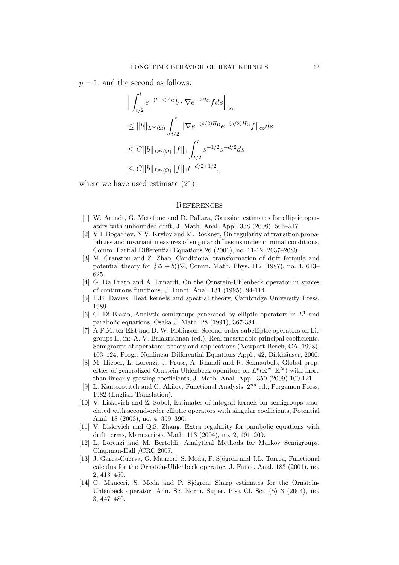$p = 1$ , and the second as follows:

$$
\| \int_{t/2}^{t} e^{-(t-s)A_{\Omega}} b \cdot \nabla e^{-sH_{\Omega}} f ds \|_{\infty}
$$
  
\n
$$
\leq \|b\|_{L^{\infty}(\Omega)} \int_{t/2}^{t} \|\nabla e^{-(s/2)H_{\Omega}} e^{-(s/2)H_{\Omega}} f\|_{\infty} ds
$$
  
\n
$$
\leq C \|b\|_{L^{\infty}(\Omega)} \|f\|_{1} \int_{t/2}^{t} s^{-1/2} s^{-d/2} ds
$$
  
\n
$$
\leq C \|b\|_{L^{\infty}(\Omega)} \|f\|_{1} t^{-d/2+1/2},
$$

where we have used estimate (21).

## **REFERENCES**

- [1] W. Arendt, G. Metafune and D. Pallara, Gaussian estimates for elliptic operators with unbounded drift, J. Math. Anal. Appl. 338 (2008), 505–517.
- [2] V.I. Bogachev, N.V. Krylov and M. Röckner, On regularity of transition probabilities and invariant measures of singular diffusions under minimal conditions, Comm. Partial Differential Equations 26 (2001), no. 11-12, 2037–2080.
- [3] M. Cranston and Z. Zhao, Conditional transformation of drift formula and potential theory for  $\frac{1}{2}\Delta + b(\mathcal{)}\nabla$ , Comm. Math. Phys. 112 (1987), no. 4, 613– 625.
- [4] G. Da Prato and A. Lunardi, On the Ornstein-Uhlenbeck operator in spaces of continuous functions, J. Funct. Anal. 131 (1995), 94-114.
- [5] E.B. Davies, Heat kernels and spectral theory, Cambridge University Press, 1989.
- [6] G. Di Blasio, Analytic semigroups generated by elliptic operators in  $L^1$  and parabolic equations, Osaka J. Math. 28 (1991), 367-384.
- [7] A.F.M. ter Elst and D. W. Robinson, Second-order subelliptic operators on Lie groups II, in: A. V. Balakrishnan (ed.), Real measurable principal coefficients. Semigroups of operators: theory and applications (Newport Beach, CA, 1998), 103–124, Progr. Nonlinear Differential Equations Appl., 42, Birkhäuser, 2000.
- [8] M. Hieber, L. Lorenzi, J. Prüss, A. Rhandi and R. Schnaubelt, Global properties of generalized Ornstein-Uhlenbeck operators on  $L^p(\mathbb{R}^N,\mathbb{R}^N)$  with more than linearly growing coefficients, J. Math. Anal. Appl. 350 (2009) 100-121.
- [9] L. Kantorovitch and G. Akilov, Functional Analysis,  $2^{nd}$  ed., Pergamon Press, 1982 (English Translation).
- [10] V. Liskevich and Z. Sobol, Estimates of integral kernels for semigroups associated with second-order elliptic operators with singular coefficients, Potential Anal. 18 (2003), no. 4, 359–390.
- [11] V. Liskevich and Q.S. Zhang, Extra regularity for parabolic equations with drift terms, Manuscripta Math. 113 (2004), no. 2, 191–209.
- [12] L. Lorenzi and M. Bertoldi, Analytical Methods for Markov Semigroups, Chapman-Hall /CRC 2007.
- [13] J. Garca-Cuerva, G. Mauceri, S. Meda, P. Sjögren and J.L. Torrea, Functional calculus for the Ornstein-Uhlenbeck operator, J. Funct. Anal. 183 (2001), no. 2, 413–450.
- [14] G. Mauceri, S. Meda and P. Sjögren, Sharp estimates for the Ornstein-Uhlenbeck operator, Ann. Sc. Norm. Super. Pisa Cl. Sci. (5) 3 (2004), no. 3, 447–480.